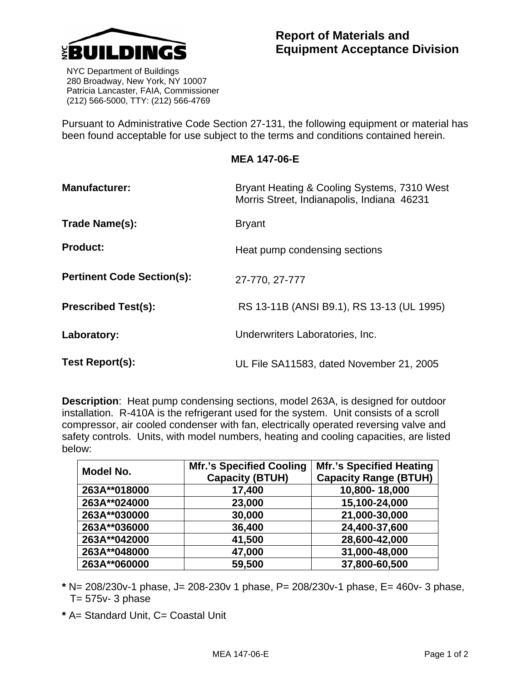

 NYC Department of Buildings 280 Broadway, New York, NY 10007 Patricia Lancaster, FAIA, Commissioner (212) 566-5000, TTY: (212) 566-4769

Pursuant to Administrative Code Section 27-131, the following equipment or material has been found acceptable for use subject to the terms and conditions contained herein.

## **MEA 147-06-E**

| <b>Manufacturer:</b>              | Bryant Heating & Cooling Systems, 7310 West<br>Morris Street, Indianapolis, Indiana 46231 |  |
|-----------------------------------|-------------------------------------------------------------------------------------------|--|
| Trade Name(s):                    | <b>Bryant</b>                                                                             |  |
| <b>Product:</b>                   | Heat pump condensing sections                                                             |  |
| <b>Pertinent Code Section(s):</b> | 27-770, 27-777                                                                            |  |
| <b>Prescribed Test(s):</b>        | RS 13-11B (ANSI B9.1), RS 13-13 (UL 1995)                                                 |  |
| Laboratory:                       | Underwriters Laboratories, Inc.                                                           |  |
| Test Report(s):                   | UL File SA11583, dated November 21, 2005                                                  |  |

**Description**: Heat pump condensing sections, model 263A, is designed for outdoor installation. R-410A is the refrigerant used for the system. Unit consists of a scroll compressor, air cooled condenser with fan, electrically operated reversing valve and safety controls. Units, with model numbers, heating and cooling capacities, are listed below:

| Model No.    | <b>Mfr.'s Specified Cooling</b><br><b>Capacity (BTUH)</b> | <b>Mfr.'s Specified Heating</b><br><b>Capacity Range (BTUH)</b> |
|--------------|-----------------------------------------------------------|-----------------------------------------------------------------|
| 263A**018000 | 17,400                                                    | 10,800-18,000                                                   |
| 263A**024000 | 23,000                                                    | 15,100-24,000                                                   |
| 263A**030000 | 30,000                                                    | 21,000-30,000                                                   |
| 263A**036000 | 36,400                                                    | 24,400-37,600                                                   |
| 263A**042000 | 41,500                                                    | 28,600-42,000                                                   |
| 263A**048000 | 47,000                                                    | 31,000-48,000                                                   |
| 263A**060000 | 59,500                                                    | 37,800-60,500                                                   |

**\*** N= 208/230v-1 phase, J= 208-230v 1 phase, P= 208/230v-1 phase, E= 460v- 3 phase,  $T = 575v - 3$  phase

**\*** A= Standard Unit, C= Coastal Unit